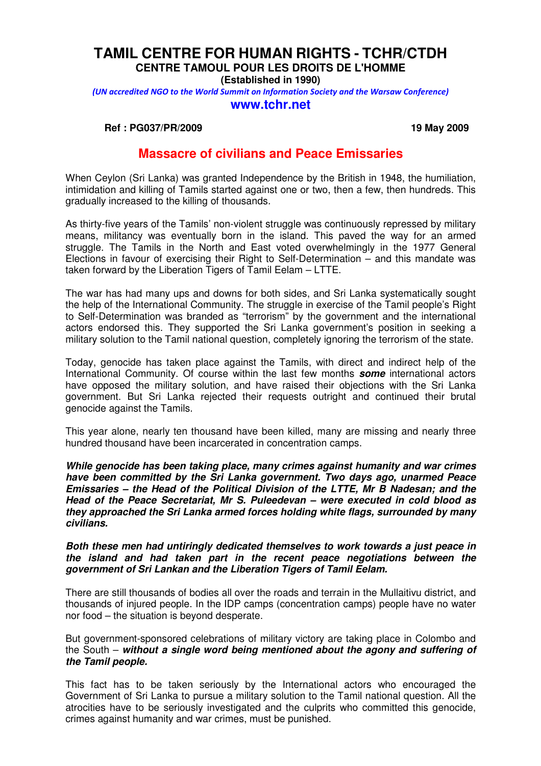# **TAMIL CENTRE FOR HUMAN RIGHTS - TCHR/CTDH CENTRE TAMOUL POUR LES DROITS DE L'HOMME**

**(Established in 1990)**

(UN accredited NGO to the World Summit on Information Society and the Warsaw Conference)

### **www.tchr.net**

**Ref : PG037/PR/2009** 19 May 2009

## **Massacre of civilians and Peace Emissaries**

When Ceylon (Sri Lanka) was granted Independence by the British in 1948, the humiliation, intimidation and killing of Tamils started against one or two, then a few, then hundreds. This gradually increased to the killing of thousands.

As thirty-five years of the Tamils' non-violent struggle was continuously repressed by military means, militancy was eventually born in the island. This paved the way for an armed struggle. The Tamils in the North and East voted overwhelmingly in the 1977 General Elections in favour of exercising their Right to Self-Determination – and this mandate was taken forward by the Liberation Tigers of Tamil Eelam – LTTE.

The war has had many ups and downs for both sides, and Sri Lanka systematically sought the help of the International Community. The struggle in exercise of the Tamil people's Right to Self-Determination was branded as "terrorism" by the government and the international actors endorsed this. They supported the Sri Lanka government's position in seeking a military solution to the Tamil national question, completely ignoring the terrorism of the state.

Today, genocide has taken place against the Tamils, with direct and indirect help of the International Community. Of course within the last few months **some** international actors have opposed the military solution, and have raised their objections with the Sri Lanka government. But Sri Lanka rejected their requests outright and continued their brutal genocide against the Tamils.

This year alone, nearly ten thousand have been killed, many are missing and nearly three hundred thousand have been incarcerated in concentration camps.

**While genocide has been taking place, many crimes against humanity and war crimes have been committed by the Sri Lanka government. Two days ago, unarmed Peace Emissaries – the Head of the Political Division of the LTTE, Mr B Nadesan; and the Head of the Peace Secretariat, Mr S. Puleedevan – were executed in cold blood as they approached the Sri Lanka armed forces holding white flags, surrounded by many civilians.** 

**Both these men had untiringly dedicated themselves to work towards a just peace in the island and had taken part in the recent peace negotiations between the government of Sri Lankan and the Liberation Tigers of Tamil Eelam.** 

There are still thousands of bodies all over the roads and terrain in the Mullaitivu district, and thousands of injured people. In the IDP camps (concentration camps) people have no water nor food – the situation is beyond desperate.

But government-sponsored celebrations of military victory are taking place in Colombo and the South – **without a single word being mentioned about the agony and suffering of the Tamil people.**

This fact has to be taken seriously by the International actors who encouraged the Government of Sri Lanka to pursue a military solution to the Tamil national question. All the atrocities have to be seriously investigated and the culprits who committed this genocide, crimes against humanity and war crimes, must be punished.